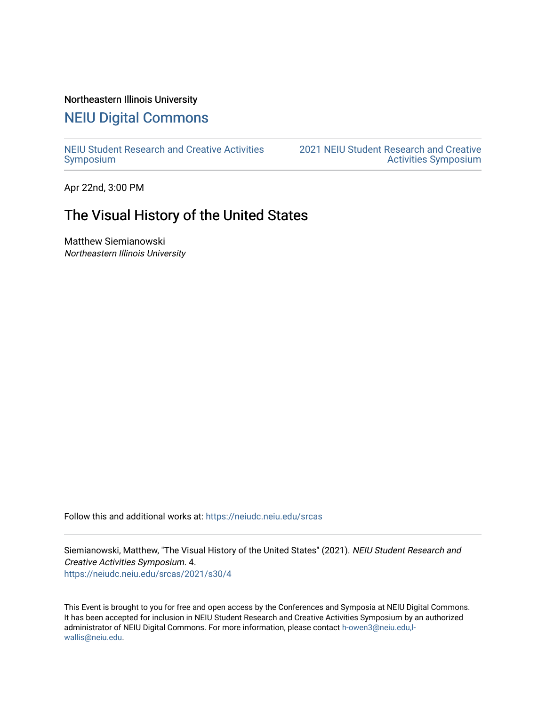#### Northeastern Illinois University

# [NEIU Digital Commons](https://neiudc.neiu.edu/)

[NEIU Student Research and Creative Activities](https://neiudc.neiu.edu/srcas) [Symposium](https://neiudc.neiu.edu/srcas) 

[2021 NEIU Student Research and Creative](https://neiudc.neiu.edu/srcas/2021)  [Activities Symposium](https://neiudc.neiu.edu/srcas/2021) 

Apr 22nd, 3:00 PM

## The Visual History of the United States

Matthew Siemianowski Northeastern Illinois University

Follow this and additional works at: [https://neiudc.neiu.edu/srcas](https://neiudc.neiu.edu/srcas?utm_source=neiudc.neiu.edu%2Fsrcas%2F2021%2Fs30%2F4&utm_medium=PDF&utm_campaign=PDFCoverPages) 

Siemianowski, Matthew, "The Visual History of the United States" (2021). NEIU Student Research and Creative Activities Symposium. 4.

[https://neiudc.neiu.edu/srcas/2021/s30/4](https://neiudc.neiu.edu/srcas/2021/s30/4?utm_source=neiudc.neiu.edu%2Fsrcas%2F2021%2Fs30%2F4&utm_medium=PDF&utm_campaign=PDFCoverPages) 

This Event is brought to you for free and open access by the Conferences and Symposia at NEIU Digital Commons. It has been accepted for inclusion in NEIU Student Research and Creative Activities Symposium by an authorized administrator of NEIU Digital Commons. For more information, please contact [h-owen3@neiu.edu,l](mailto:h-owen3@neiu.edu,l-wallis@neiu.edu)[wallis@neiu.edu.](mailto:h-owen3@neiu.edu,l-wallis@neiu.edu)